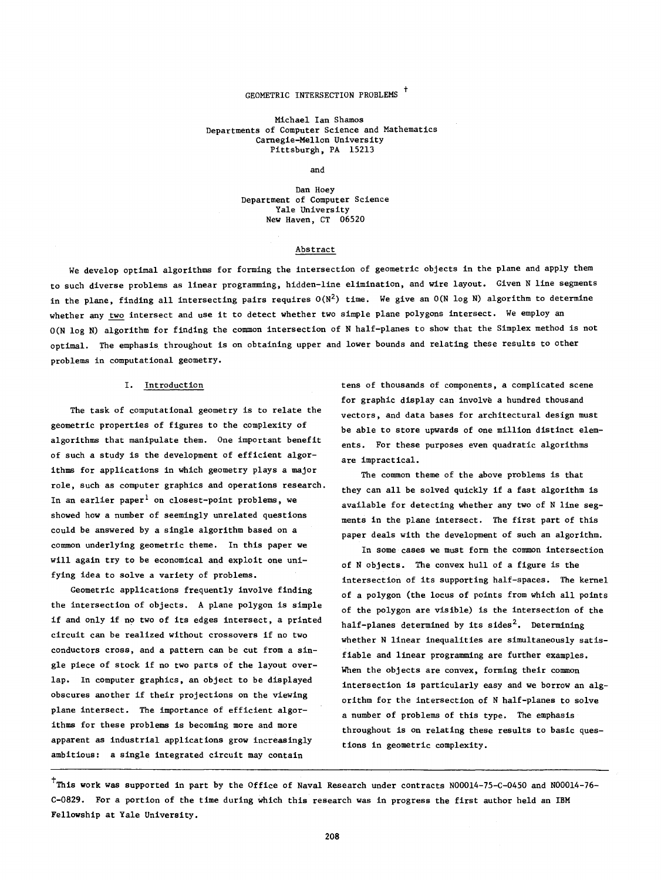## GEOMETRIC INTERSECTION PROBLEMS <sup>+</sup>

Michael Ian Shamos Departments of Computer Science and Mathematics Carnegie-Mellon University Pittsburgh, PA 15213

#### and

Dan Hoey Department of Computer Science Yale University New Haven, CT 06520

#### Abstract

We develop optimal algorithms for forming the intersection of geometric objects in the plane and apply them to such diverse problems as linear programming, hidden-line elimination, and wire layout. Given N line segments in the plane, finding all intersecting pairs requires  $O(N^2)$  time. We give an  $O(N \log N)$  algorithm to determine whether any two intersect and use it to detect whether two simple plane polygons intersect. We employ an O(N log N) algorithm for finding the common intersection of N half-planes to show that the Simplex method is not optimal. The emphasis throughout is on obtaining upper and lower bounds and relating these results to other problems in computational geometry.

#### I. Introduction

The task of computational geometry is to relate the geometric properties of figures to the complexity of algorithms that manipulate them. One important benefit of such a study is the development of efficient algorithms for applications in which geometry plays a major role, such as computer graphics and operations research. In an earlier paper<sup>1</sup> on closest-point problems, we showed how a number of seemingly unrelated questions could be answered by a single algorithm based on a common underlying geometric theme. In this paper we will again try to be economical and exploit one unifying idea to solve a variety of problems.

Geometric applications frequently involve finding the intersection of objects. A plane polygon is simple if and only if no two of its edges intersect, a printed circuit can be realized without crossovers if no two conductors cross, and a pattern can be cut from a single piece of stock if no two parts of the layout overlap. In computer graphics, an object to be displayed obscures another if their projections on the viewing plane intersect. The importance of efficient algorithms for these problems is becoming more and more apparent as industrial applications grow increasingly ambitious: a single integrated circuit may contain

tens of thousands of components, a complicated scene for graphic display can involve a hundred thousand vectors, and data bases for architectural design must be able to store upwards of one million distinct elements. For these purposes even quadratic algorithms are impractical.

The common theme of the above problems is that they can all be solved quickly if a fast algorithm is available for detecting whether any two of N line segments in the plane intersect. The first part of this paper deals with the development of such an algorithm.

In some cases we must form the common intersection of N objects. The convex hull of a figure is the intersection of its supporting half-spaces. The kernel of a polygon (the locus of points from which all points of the polygon are visible) is the intersection of the half-planes determined by its sides<sup>2</sup>. Determining whether N linear inequalities are simultaneously satisfiable and linear programming are further examples. When the objects are convex, forming their common intersection is particularly easy and we borrow an algorithm for the intersection of N half-planes to solve a number of problems of this type. The emphasis throughout is on relating these results to basic questions in geometric complexity.

<sup>†</sup>This work was supported in part by the Office of Naval Research under contracts N00014-75-C-0450 and N00014-76-C-0829. For a portion of the time during which this research was in progress the first author held an IBM Fellowship at Yale University.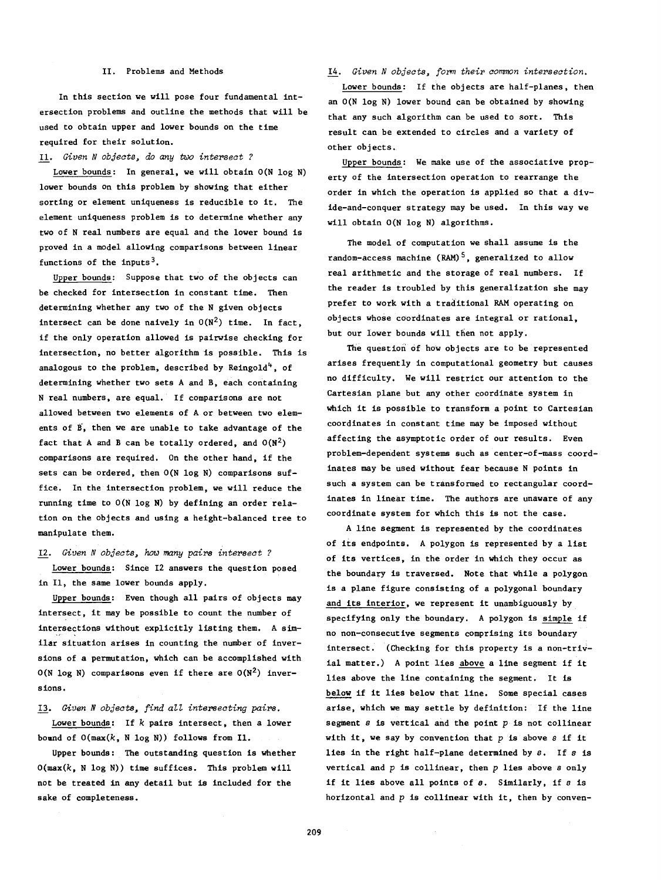### II. Problems and Methods

In this section we will pose four fundamental intersection problems and outline the methods that will be used to obtain upper and lower bounds on the time required for their solution.

11. *Given* N *objects,* do *any two intepsect* ?

Lower bounds: In general, we will obtain O(N log N) lower bounds on this problem by showing that either sorting or element uniqueness is reducible to it. The element uniqueness problem is to determine whether any two of N real numbers are equal and the lower bound is proved in a model allowing comparisons between linear functions of the inputs<sup>3</sup>.

Upper bounds: Suppose that two of the objects can be checked for intersection in constant time. Then determining whether any two of the N given objects intersect can be done naively in  $O(N^2)$  time. In fact, if the only operation allowed is pairwise checking for intersection, no better algorithm is possible. This is analogous to the problem, described by Reingold<sup>4</sup>, of determining whether two sets A and B, each containing N real numbers, are equal. If comparisons are not allowed between two elements of A.or between two elements of B, then we are unable to take advantage of the fact that A and B can be totally ordered, and  $O(N^2)$ comparisons are required. On the other hand, if the sets can be ordered, then O(N log N) comparisons suffice. In the intersection problem, we will reduce the running time to  $O(N \log N)$  by defining an order relation on the objects and using a height-balanced tree to manipulate them.

*12. Given N objects,* how *many paips intepseat* ?

Lower bounds: Since 12 answers the question posed in II, the same lower bounds apply.

Upper bounds: Even though all pairs of objects may intersect, it may be possible to count the number of intersections without explicitly listing them. A similar situation arises in counting the number of inversions of a permutation, which can be accomplished with O(N log N) comparisons even if there are  $O(N^2)$  inversions.

*13. GivenN objeats, find aLl interseating pairs.*

Lower bounds: If *k* pairs intersect, then a lower bound of  $O(max(k, N \log N))$  follows from Il.

Upper bounds: The outstanding question is whether  $O(max(k, N \log N))$  time suffices. This problem will not be treated in any detail but is included for the sake of completeness.

*14. Given N objects, form their aorrunon intepsection.* Lower bounds: If the objects are half-planes, then an O(N log N) lower bound can be obtained by showing that any such algorithm can be used to sort. This result can be extended to circles and a variety of other objects.

Upper bounds: We make use of the associative property of the intersection operation to rearrange the order in which the operation is applied so that a divide-and-conquer strategy may be used. In this way we will obtain O(N log N) algorithms.

The model of computation we shall assume is the random-access machine (RAM)<sup>5</sup>, generalized to allow real arithmetic and the storage of real numbers. If the reader is troubled by this generalization she may prefer to work with a traditional RAM operating on objects whose coordinates are integral or rational, but our lower bounds will then not apply.

The question of how objects are to be represented arises frequently in computational geometry but causes no difficulty. We will restrict our attention to the Cartesian plane but any other coordinate system in which it is possible to transform a point to Cartesian coordinates in constant time may be imposed without affecting the asymptotic order of our results. Even problem-dependent systems such as center-of-mass coordinates may be used without fear because N points in such a system can be transformed to rectangular coordinates in linear time. The authors are unaware of any coordinate system for which this is not the case.

A line segment is represented by the coordinates of its endpoints. <sup>A</sup> polygon is represented by <sup>a</sup> list of its vertices, in the order in which they occur as the boundary is traversed. Note that while a polygon is a plane figure consisting of a polygonal boundary and its interior, we represent it unambiguously by specifying only the boundary. <sup>A</sup> polygon is simple if no non-consecutive segments comprising its boundary intersect. (Checking for this property is a non-trivial matter.) <sup>A</sup> point lies above <sup>a</sup> line segment if it lies above the line containing the segment. It is below if it lies below that line. Some special cases arise, which we may settle by definition: If the line segment  $s$  is vertical and the point  $p$  is not collinear with it, we say by convention that  $p$  is above  $s$  if it lies in the right half-plane determined by  $s$ . If  $s$  is vertical and  $p$  is collinear, then  $p$  lies above  $s$  only if it lies above all points of  $s$ . Similarly, if  $s$  is horizontal and  $p$  is collinear with it, then by conven-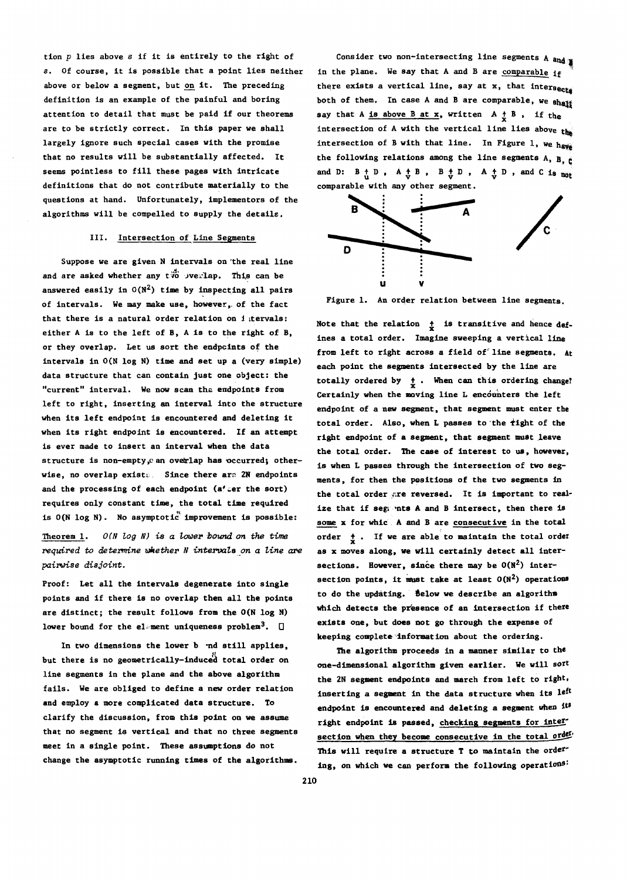tion  $p$  lies above  $s$  if it is entirely to the right of 8. Of course, it is possible that <sup>a</sup> point lies neither above or below a segment, but on it. The preceding definition is an example of the painful and boring attention to detail that' must be paid if our theorems are to be strictly correct. In this paper we shall largely ignore such special cases with the promise that no results will be substantially affected. It seems pointless to fill these pages with intricate definitions that do not contribute materially to the questions at hand. Unfortunately, implementors of the algorithms will be compelled to supply the details,.

### III. Intersection of Line Segments

Suppose we are given N intervals on 'the real line and are asked whether any two overlap. This can be answered easily in  $O(N^2)$  time by inspecting all pairs of intervals. We may make use, however,. of the fact that there is a natural order relation on i tervals: either A is to the left of B, A is to the right of B, or they overlap. Let us sort the endpoints of the intervals in O(N log N) time and set up a (very simple) data structure that can contain just one object: the "current" interval. We nOW scan the endpoints from left to right, inserting an interval into the structure when its left endpoint is encountered and deleting it when its right endpoint is encountered. If an attempt is ever made to insert an interval when the data structure is non-empty, can overlap has occurred; otherwise, no overlap exists. Since there are 2N endpoints and the processing of each endpoint (a' cer the sort) requires only constant time, the total time required is  $O(N \log N)$ . No asymptotic improvement is possible:

Theorem 1.  $O(N \log N)$  is a lower bound on the time *required* to determine whether N intervals on a line are *pairwise disjoint.*

Proof: Let all the intervals degenerate into single points and if there is no overlap then all the points are distinct; the result follows from the O(N log N) lower bound for the element uniqueness problem<sup>3</sup>.  $\square$ 

In two dimensions the lower b .nd still applies, but there is no geometrically-induced total order on line segments in the plane and the above algorithm fails. We are obliged to define a new order relation and employ a more complicated data structure. To clarify the discussion, from this point on we assume that no segment is vertical and that no three segments meet in a single point. These assumptions do not change the asymptotic running times of the algorithms.

Consider two non-intersecting line segments A and in the plane. We say that A and B are comparable  $i_f$ there exists a vertical line, say at x, that intersects both of them. In case A and B are comparable, we shapp both of them. In case A and B are comparable, we sh<br>say that A <u>is above B at x</u>, written  $A + B$ , if the intersection of A with the vertical line lies above  $t_{\text{th}}$ intersection of B with that line. In Figure 1, we have the following relations among the line segments  $A$ ,  $B$ ,  $B$ and D:  $B + D$ ,  $A + B$ ,  $B + D$ ,  $A + D$ , and C is not comparable with any other segment.



Figure 1. An order relation between line segments.

Note that the relation  $\frac{1}{x}$  is transitive and hence defines a total order. Imagine sweeping a vertical line from left to right across a field of line segments. At each point the segments intersected by the line are totally ordered by  $\frac{1}{x}$ . When can this ordering change?<br>Certainly when the moving line L encounters the left endpoint of a new segment, that segment must enter the total order. Also, when L passes to the  $\frac{1}{2}$ ight of the right endpoint of a segment, that segment must leave the total order. The ease of interest to us, however, is when L passes through the intersection of two segments, for then the positions of the two segments in the total order are reversed. It is important to realize that if segments A and B intersect, then there is some x for which A and B are consecutive in the total order  $t$ . If we are able to maintain the total order as x moves along, we will eertainly detect all intersections. However, since there may be  $O(N^2)$  intersection points, it must take at least  $O(N^2)$  operations to do the updating. Selow we describe an algorithm which detects the presence of an intersection if there exists one, but does not go through the expense of keeping complete information about the ordering.

The algorithm proceeds in a manner similar to the one-dimensional algorithm given earlier. We will sort the 2N segment endpoints and march from left to right, inserting a segment in the data structure when its left endpoint is encountered and deleting a segment when its right endpoint is passed, checking segments for intersection when they become consecutive in the total order. This will require a structure T to maintain the ordering, on which we can perfora the following operations: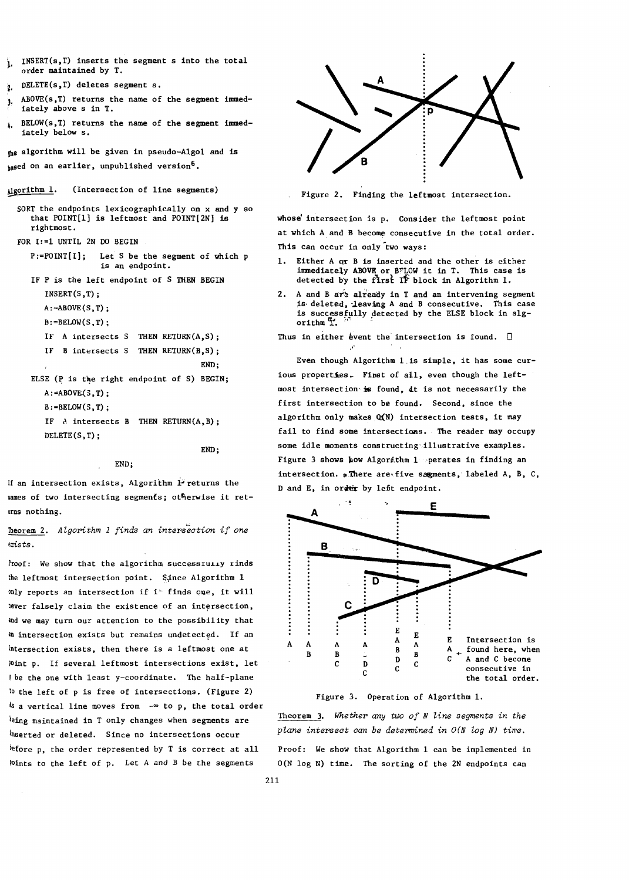- $INSERT(s, T)$  inserts the segment s into the total order maintained by T.
- DELETE(s, T) deletes segment s.
- ABOVE(s, T) returns the name of the segment immediately above s in T.
- $BELOW(s,T)$  returns the name of the segment immediately below s.

the algorithm will be given in pseudo-Algol and is  $_{\text{hased}}$  on an earlier, unpublished version<sup>6</sup>.

digorithm 1. (Intersection of line segments) Figure 2. Finding the leftmost intersection.

```
SORT the endpoints lexicographically on x and y so
 that POINT[l] is leftmost and POINT[2N] is
 rightmost.
```
FOR 1:=1 UNTIL 2N 00 BEGIN

- P:=POINT[I]; Let S be the segment of which p is an endpoint.
- IF P is the left endpoint of S THEN BEGIN INSERT(S,T);  $A:=ABOVE(S,T);$ 
	- $B:=BELOW(S,T);$

DELETE(S,T);

```
IF A intersects S THEN RETURN(A, S);
```

```
IF B intersects S THEN RETURN(B, S);
                               END;
```

```
ELSE (P is the right endpoint of S) BEGIN;
A:=ABOVE(3,T):B:=BELOW(S,T);
IF A intersects B THEN RETURN(A, B);
```

```
END;
```
#### END;

If an intersection exists, Algorithm 1 returns the names of two intersecting segments; otherwise it returns nothing.

 $f$ **heorem 2.** Algorithm 1 *finds an intersection if one* emsts.

Proof: We show that the algorithm successiully rinds the leftmost intersection point. Since Algorithm 1 only reports an intersection if it finds one, it will never falsely claim the existence of an intersection, md we may turn our attention to the possibility that an intersection exists but remains undetected. If an intersection exists, then there is a leftmost one at Mint p. If several leftmost intersections exist, let Phe the one with least y-coordinate. The half-plane to the left of  $p$  is free of intersections. (Figure 2) a vertical line moves from \_00 to p, the total order being maintained in T only changes when segments are Inserted or deleted. Since no intersections occur  $^{before}$  p, the order represented by T is correct at all Points to the left of p. Let A and B be the segments



whose intersection is p. Consider the leftmost point at which A and B become consecutive in the total order. This can occur in only two ways:

- 1. Either A ar B is inserted and the other is either immediately ABOVE or BFLOW it in T. This case is detected by the first  $\overrightarrow{r}$  block in Algorithm 1.
- 2. A and B are already in T and an intervening segment is deleted, leaving A and B consecutive. This case is successfully detected by the ELSE block in alg-<br>orithm  $\frac{a}{k}$ .

Thus in either event the intersection is found.  $\Box$ 

,-

Even though Algorithm l,is simple, it has some curious properties. First of all, even though the leftmost intersection is found, it is not necessarily the first intersection to be found. Second, since the algorithm only makes  $Q(N)$  intersection tests, it may fail to find some intersections. The reader may occupy some idle moments constructing illustrative examples. Figure 3 shows how Algorathm 1 . perates in finding an intersection. . There are five segments, labeled A, B, C, D and E, in order by lefit endpoint.



Figure 3. Operation of Algorithm 1.

Theorem 3. Whether any *two* of *N* line segments in the *pZane intersect can be determined in O(N log N) time.*

Proof: We show that Algorithm 1 can be implemented in O(N log N) time. The sorting of the 2N endpoints can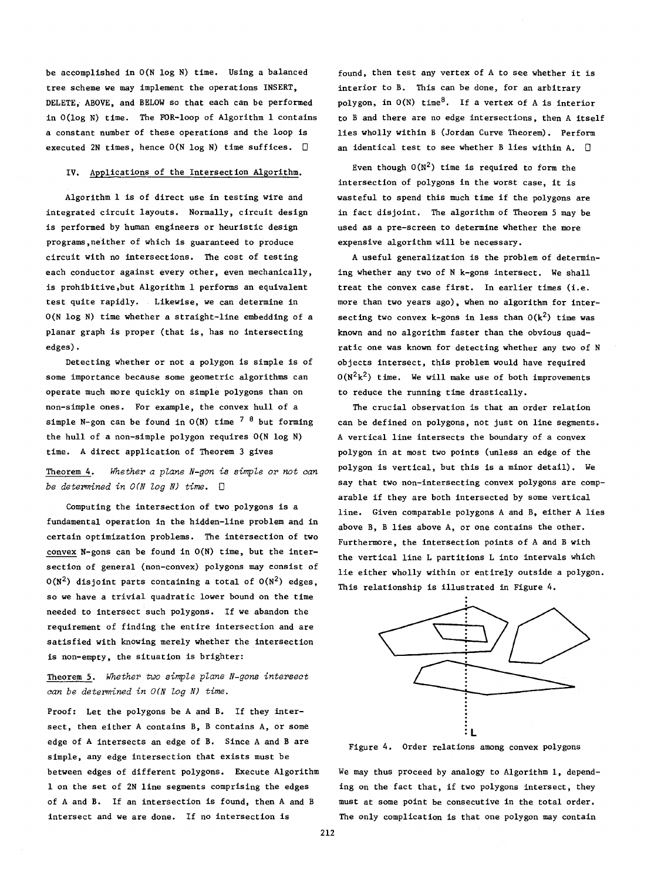be accomplished in O(N log N) time. Using a balanced tree scheme we may implement the operations INSERT, DELETE, ABOVE, and BELOW so that each can be performed in O(log N) time. The FOR-loop of Algorithm 1 contains a constant number of these operations and the loop is executed 2N times, hence  $O(N \log N)$  time suffices.  $\square$ 

#### IV. Applications of the Intersection Algorithm.

Algorithm 1 is of direct use in testing wire and integrated circuit layouts. Normally, circuit design is performed by human engineers or heuristic design programs,neither of which is guaranteed to produce circuit with no intersections. The cost of testing each conductor against every other, even mechanically, is prohibitive,but Algorithm 1 performs an equivalent test quite rapidly. Likewise, we can determine in O(N log N) time whether a straight-line embedding of a planar graph is proper (that is, has no intersecting edges).

Detecting whether or not a polygon is simple is of some importance because some geometric algorithms can operate much more quickly on simple polygons than on non-simple ones. For example, the convex hull of a simple N-gon can be found in  $O(N)$  time  $7^{-8}$  but forming the hull of a non-simple polygon requires O(N log N) time. A direct application of Theorem 3 gives

Theorem 4. *Whether a plane N-gon* is *sinrple* or *not can be determined in O(N log N) time.* 0

Computing the intersection of two polygons is a fundamental operation in the hidden-line problem and in certain optimization problems. The intersection of two convex N-gons can be found in O(N) time, but the intersection of general (non-convex) polygons may eonsist of  $0(N^2)$  disjoint parts containing a total of  $0(N^2)$  edges, so we have a trivial quadratic lower bound on the time needed to intersect such polygons. If we abandon the requirement of finding the entire intersection and are satisfied with knowing merely whether the intersection is non-empty, the situation is brighter:

# Theorem 5. *Whether two sinrplepZane N-gons intersect can be determined in O(N log N) time.*

Proof: Let the polygons be A and B. If they intersect, then either A contains B, B contains A, or some edge of A intersects an edge of B. Since A and B are simple, any edge intersection that exists must be between edges of different polygons. Execute Algorithm 1 on the set of 2N line segments comprising the edges of A and B. If an intersection is found, then A and B intersect and we are done. If no intersection is

found, then test any vertex of <sup>A</sup> to see whether it is interior to B. This can be done, for an arbitrary polygon, in  $O(N)$  time<sup>8</sup>. If a vertex of A is interior to B and there are no edge intersections, then A itself lies wholly within <sup>B</sup> (Jordan Curve Theorem). Perform an identical test to see whether B lies within A.  $\Box$ 

Even though  $O(N^2)$  time is required to form the intersection of polygons in the worst case, it is wasteful to spend this much time if the polygons are in fact disjoint. The algorithm of Theorem 5 may be used as a pre-screen to determine whether the more expensive algorithm will be necessary.

A useful generalization is the problem of determining whether any two of N k-gons intersect. We shall treat the convex case first. In earlier times (i.e. more than two years ago), when no algorithm for intersecting two convex k-gons in less than  $O(k^2)$  time was known and no algorithm faster than the obvious quadratic one was known for detecting whether any two of N objects intersect, this problem would have required  $O(N^2k^2)$  time. We will make use of both improvements to reduce the running time drastically.

The crucial observation is that an order relation can be defined on polygons, not just on line segments. A vertical line intersects the boundary of a convex polygon in at most two points (unless an edge of the polygon is vertical, but this is a minor detail). We say that two non-intersecting convex polygons are comparable if they are both intersected by some vertical line. Given comparable polygons A and B, either A lies above B, B lies above A, or one contains the other. Furthermore, the intersection points of A and <sup>B</sup> with the vertical line L partitions L into intervals which lie either wholly within or entirely outside <sup>a</sup> polygon. This relationship is illustrated in Figure 4.



Figure 4. Order relations among convex polygons

We may thus proceed by analogy to Algorithm 1, depending on the fact that, if two polygons intersect, they must at some point be consecutive in the total order. The only complication is that one polygon may contain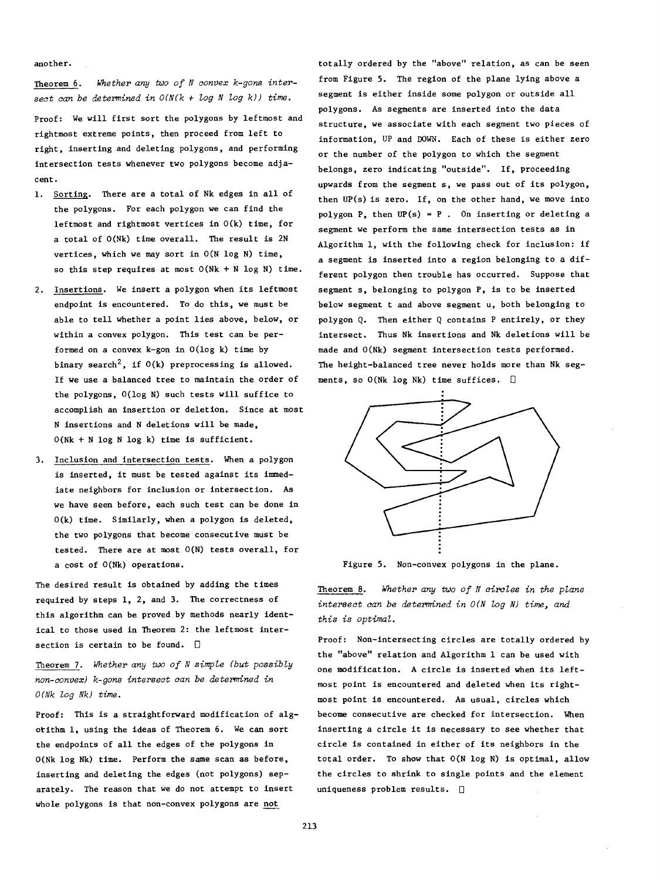another.

Theorem 6. *Whether any two of <sup>N</sup> convex k-gons intersect can be determined in O(N(k* + *log N log k)) time.*

Proof: We will first sort the polygons by leftmost and rightmost extreme points, then proceed from left to right, inserting and deleting polygons, and performing intersection tests whenever two polygons become adjacent.

- 1. Sorting. There are a total of Nk edges in all of the polygons. For each polygon we can find the leftmost and rightmost vertices in  $O(k)$  time, for a total of O(Nk) time overall. The result is 2N vertices, which we may sort in O(N log N) time, so this step requires at most  $O(Nk + N \log N)$  time.
- 2. Insertions. We insert a polygon when its leftmost endpoint is encountered. To do this, we must be able to tell whether a point lies above, below, or within a convex polygon. This test can be performed on a convex k-gon in O(log k) time by binary search<sup>2</sup>, if  $O(k)$  preprocessing is allowed. If we use a balanced tree to maintain the order of the polygons, O(log N) such tests will suffice to accomplish an insertion or deletion. Since at most N insertions and N deletions will be made, O(Nk + N log N log k) time is sufficient.
- 3. Inclusion and intersection tests. When a polygon is inserted, it must be tested against its immediate neighbors for inclusion or intersection. As we have seen before, each such test can be done in O(k) time. Similarly, when a polygon is deleted, the two polygons that become consecutive must be tested. There are at most O(N) tests overall, for a cost of O(Nk) operations.

The desired result is obtained by adding the times required by steps 1, 2, and 3. The correctness of this algorithm can be proved by methods nearly identical to those used in Theorem 2: the leftmost intersection is certain to be found.  $\Box$ 

Theorem 7. *Whether any two of <sup>N</sup> simple (but possibly non-convex) k-gons intersect can be determined in O(Nk log Nk) time.*

Proof: This is a straightforward modification of algotithm 1, using the ideas of Theorem 6. We can sort the endpoints of all the edges of the polygons in O(Nk log Nk) time. Perform the same scan as before, inserting and deleting the edges (not polygons) separately. The reason that we do not attempt to insert whole polygons is that non-convex polygons are not

totally ordered by the "above" relation, as can be seen from Figure 5. The region of the plane lying above a segment is either inside some polygon or outside all polygons. As segments are inserted into the data structure, we associate with each segment two pieces of information, UP and DOWN. Each of these is either zero or the number of the polygon to which the segment belongs, zero indicating "outside". If, proceeding upwards from the segment s, we pass out of its polygon, then UP(s) is zero. If, on the other hand, we move into polygon P, then  $UP(s) = P$ . On inserting or deleting a segment we perform the same intersection tests as in Algorithm 1, with the following check for inclusion: if a segment is inserted into a region belonging to a different polygon then trouble has occurred. Suppose that segment s, belonging to polygon P, is to be inserted below segment t and above segment u, both belonging to polygon Q. Then either Q contains P entirely, or they intersect. Thus Nk insertions and Nk deletions will be made and O(Nk) segment intersection tests performed. The height-balanced tree never holds more than Nk segments, so  $0(Nk \log Nk)$  time suffices.  $\square$ 



Figure 5. Non-convex polygons in the plane.

Theorem 8. *Whether any* two *of* <sup>N</sup> *circles in the plane intersect can be determined in*  $O(N \log N)$  *time, and this is optimal.*

Proof: Non-intersecting circles are totally ordered by the "above" relation and Algorithm 1 can be used with one modification. A circle is inserted when its leftmost point is encountered and deleted when its rightmost point is encountered. As usual, circles which become consecutive are checked for intersection. When inserting <sup>a</sup> circle it is necessary to see whether that circle is contained in either of its neighbors in the total order. To show that O(N log N) is optimal, allow the circles to shrink to single points and the element uniqueness problem results.  $\Box$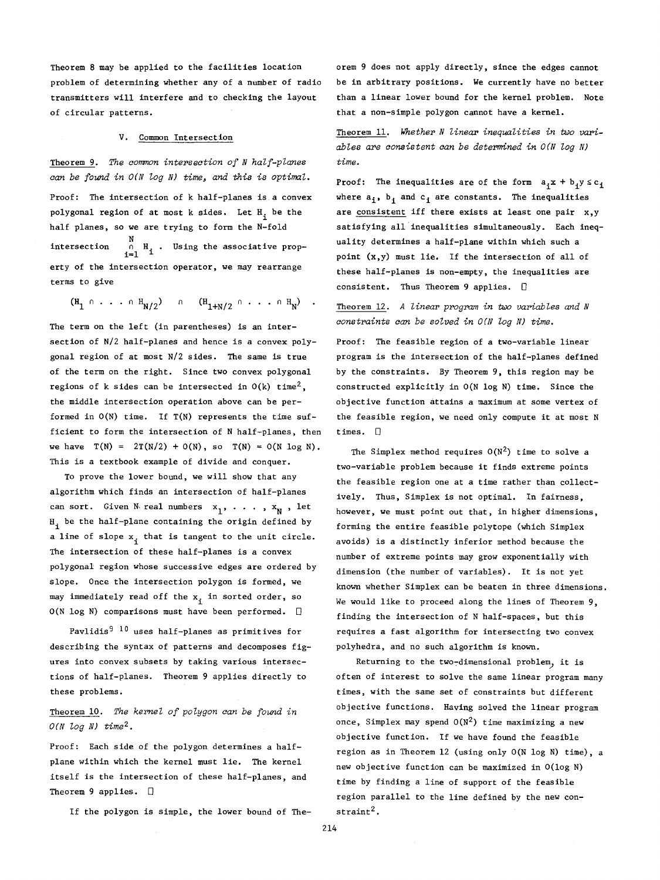Theorem 8 may be applied to the facilities location problem of determining whether any of a number of radio transmitters will interfere and to checking the layout of circular patterns.

#### v. Common Intersection

Theorem 9. *The corronon intersection of N half-planes can be found in O(Nlog N) time., and this* is *optimal.*

Proof: The intersection of k half-planes is.a convex polygonal region of at most k sides. Let  $H_i$  be the half planes, so we are trying to form the N-fold intersection  $\begin{array}{c} \mathtt{N} \\ \mathtt{N} \\ \mathtt{i}=1 \end{array}$  . Using the associative property of the intersection operator, we may rearrange terms to give

$$
(\mathbf{H}_{1} \cap \ldots \cap \mathbf{H}_{N/2}) \cap (\mathbf{H}_{1+N/2} \cap \ldots \cap \mathbf{H}_{N}) .
$$

The term on the left (in parentheses) is an intersection of N/2 half-planes and hence is a convex polygonal region of at most N/2 sides. The same is true of the term on the right. Since two convex polygonal regions of k sides can be intersected in  $O(k)$  time<sup>2</sup>, the middle intersection operation above can be performed in  $O(N)$  time. If  $T(N)$  represents the time sufficient to form the intersection of N half-planes, then we have  $T(N) = 2T(N/2) + O(N)$ , so  $T(N) = O(N \log N)$ . This is a textbook example of divide and conquer.

To prove the lower bound, we will show that any algorithm which finds an intersection of half-planes can sort. Given N\real numbers  $x_1$ , ...,  $x_N$ , let  $H_i$  be the half-plane containing the origin defined by a line of slope  $x_i$  that is tangent to the unit circle. The intersection of these half-planes is a convex polygonal region whose successive edges are ordered by slope. Once the intersection polygon is formed, we may immediately read off the  $x_i$  in sorted order, so  $O(N \log N)$  comparisons must have been performed.  $\square$ 

Pavlidis<sup>9 10</sup> uses half-planes as primitives for describing the syntax of patterns and decomposes figures into convex subsets by taking various intersections of half-planes. Theorem 9 applies directly to these problems.

# Theorem 10. *The kernel of polygon can be found in O(N log N) time2 •*

Proof: Each side of the polygon determines a halfplane within which the kernel must lie. The kernel itself is the intersection of these half-planes, and Theorem 9 applies.  $\Box$ 

If the polygon is simple, the lower bound of The-

orem 9 does not apply directly, since the edges cannot be in arbitrary positions. We currently have no better than a linear lower bound for the kernel problem. Note that a non-simple polygon cannot have a kernel.

Theorem 11. *Whether N linear inequalities in two variables are consistent can be determined in O(N log N) time.*

Proof: The inequalities are of the form  $a_i x + b_i y \le c_i$ where  $a_i$ ,  $b_i$  and  $c_i$  are constants. The inequalities are consistent iff there exists at least one pair x,y satisfying all'inequalities simultaneously. Each inequality determines a half-plane within which such a point (x,y) must lie. If the intersection of all of these half-planes is non-empty, the inequalities are consistent. Thus Theorem 9 applies.  $\Box$ 

Theorem 12. A linear program in two variables and N *constraints can be solved in O(N log N) time.*

Proof: The feasible region of a two-variable linear program is the intersection of the half-planes defined by the constraints. By Theorem 9, this region may be constructed explicitly in O(N log N) time. Since the objective function attains a maximum at some vertex of the feasible region, we need only compute it at most <sup>N</sup> times.  $\Box$ 

The Simplex method requires  $O(N^2)$  time to solve a two-variable problem because it finds extreme points the feasible region one at a time rather than collectively. Thus, Simplex is not optimal. In fairness, however, we must point out that, in higher dimensions, forming the entire feasible polytope (which Simplex avoids) is a distinctly inferior method because the number of extreme points may grow exponentially with dimension (the number of variables). It is not yet known whether Simplex can be beaten in three dimensions. We would like to proceed along the lines of Theorem 9, finding the intersection of N half-spaces, but this requires a fast algorithm for intersecting two convex polyhedra, and no such algorithm is known.

Returning to the two-dimensional problem, it is often of interest to solve the same linear program many times, with the same set of constraints but different objective functions. Having solved the linear program once, Simplex may spend  $O(N^2)$  time maximizing a new objective function. If we have found the feasible region as in Theorem 12 (using only O(N log N) time), a new objective function can be maximized in O(log N) time by finding a line of support of the feasible region parallel to the line defined by the new con $straint<sup>2</sup>$ .